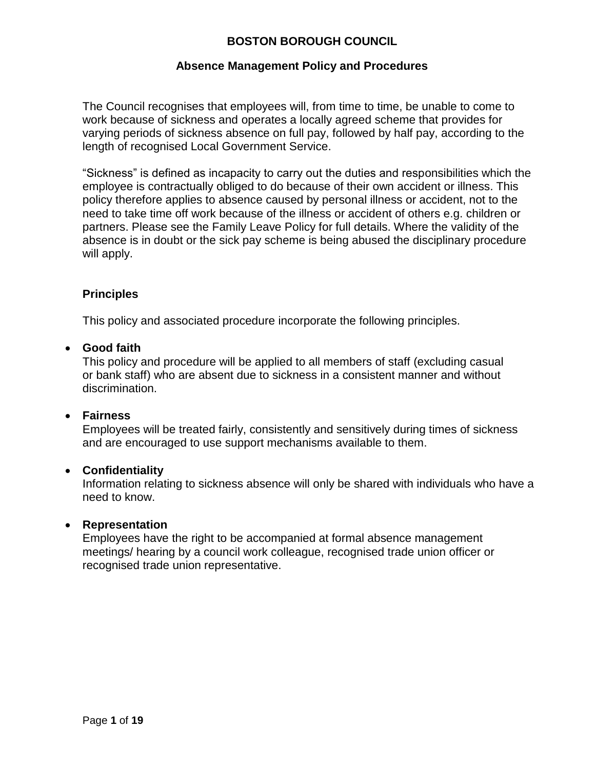### **Absence Management Policy and Procedures**

The Council recognises that employees will, from time to time, be unable to come to work because of sickness and operates a locally agreed scheme that provides for varying periods of sickness absence on full pay, followed by half pay, according to the length of recognised Local Government Service.

"Sickness" is defined as incapacity to carry out the duties and responsibilities which the employee is contractually obliged to do because of their own accident or illness. This policy therefore applies to absence caused by personal illness or accident, not to the need to take time off work because of the illness or accident of others e.g. children or partners. Please see the Family Leave Policy for full details. Where the validity of the absence is in doubt or the sick pay scheme is being abused the disciplinary procedure will apply.

### <span id="page-0-0"></span>**Principles**

This policy and associated procedure incorporate the following principles.

#### **Good faith**

This policy and procedure will be applied to all members of staff (excluding casual or bank staff) who are absent due to sickness in a consistent manner and without discrimination.

### **Fairness**

Employees will be treated fairly, consistently and sensitively during times of sickness and are encouraged to use support mechanisms available to them.

### **Confidentiality**

Information relating to sickness absence will only be shared with individuals who have a need to know.

### **Representation**

Employees have the right to be accompanied at formal absence management meetings/ hearing by a council work colleague, recognised trade union officer or recognised trade union representative.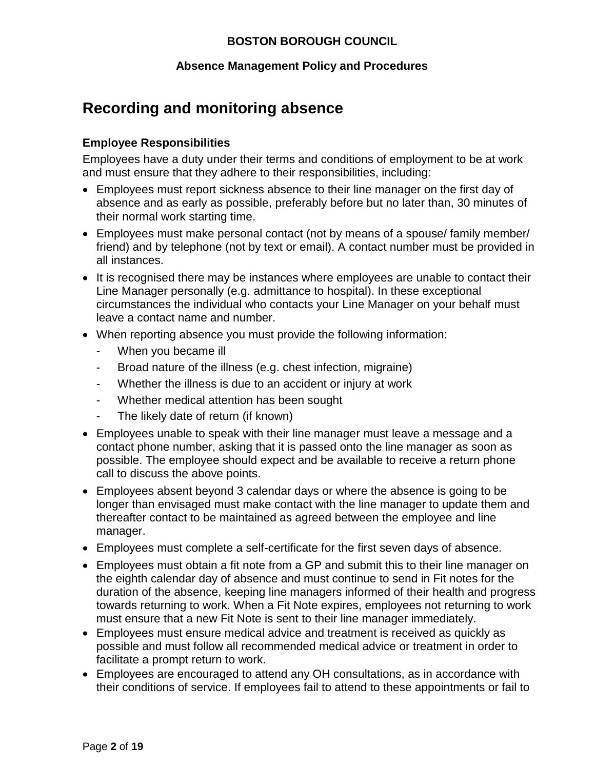### **Absence Management Policy and Procedures**

# **Recording and monitoring absence**

### **Employee Responsibilities**

Employees have a duty under their terms and conditions of employment to be at work and must ensure that they adhere to their responsibilities, including:

- Employees must report sickness absence to their line manager on the first day of absence and as early as possible, preferably before but no later than, 30 minutes of their normal work starting time.
- Employees must make personal contact (not by means of a spouse/ family member/ friend) and by telephone (not by text or email). A contact number must be provided in all instances.
- It is recognised there may be instances where employees are unable to contact their Line Manager personally (e.g. admittance to hospital). In these exceptional circumstances the individual who contacts your Line Manager on your behalf must leave a contact name and number.
- When reporting absence you must provide the following information:
	- When you became ill
	- Broad nature of the illness (e.g. chest infection, migraine)
	- Whether the illness is due to an accident or injury at work
	- Whether medical attention has been sought
	- The likely date of return (if known)
- Employees unable to speak with their line manager must leave a message and a contact phone number, asking that it is passed onto the line manager as soon as possible. The employee should expect and be available to receive a return phone call to discuss the above points.
- Employees absent beyond 3 calendar days or where the absence is going to be longer than envisaged must make contact with the line manager to update them and thereafter contact to be maintained as agreed between the employee and line manager.
- Employees must complete a self-certificate for the first seven days of absence.
- Employees must obtain a fit note from a GP and submit this to their line manager on the eighth calendar day of absence and must continue to send in Fit notes for the duration of the absence, keeping line managers informed of their health and progress towards returning to work. When a Fit Note expires, employees not returning to work must ensure that a new Fit Note is sent to their line manager immediately.
- Employees must ensure medical advice and treatment is received as quickly as possible and must follow all recommended medical advice or treatment in order to facilitate a prompt return to work.
- Employees are encouraged to attend any OH consultations, as in accordance with their conditions of service. If employees fail to attend to these appointments or fail to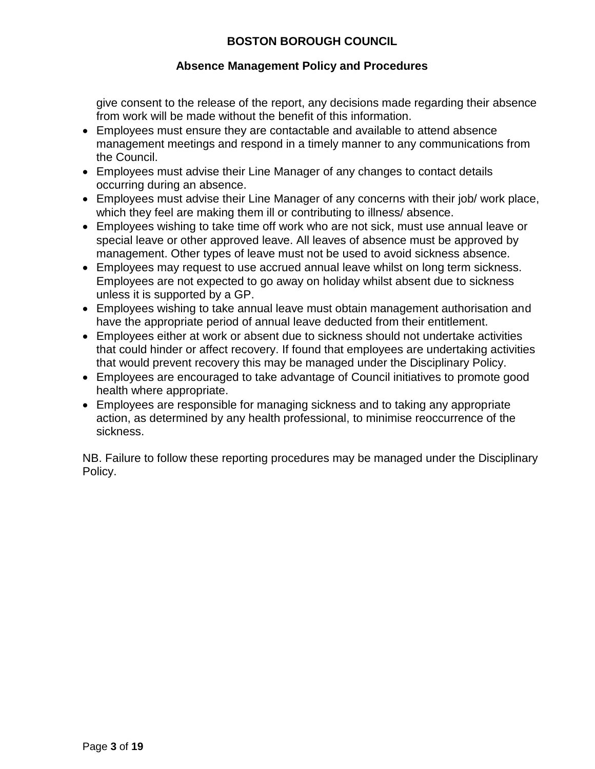### **Absence Management Policy and Procedures**

give consent to the release of the report, any decisions made regarding their absence from work will be made without the benefit of this information.

- Employees must ensure they are contactable and available to attend absence management meetings and respond in a timely manner to any communications from the Council.
- Employees must advise their Line Manager of any changes to contact details occurring during an absence.
- Employees must advise their Line Manager of any concerns with their job/ work place, which they feel are making them ill or contributing to illness/absence.
- Employees wishing to take time off work who are not sick, must use annual leave or special leave or other approved leave. All leaves of absence must be approved by management. Other types of leave must not be used to avoid sickness absence.
- Employees may request to use accrued annual leave whilst on long term sickness. Employees are not expected to go away on holiday whilst absent due to sickness unless it is supported by a GP.
- Employees wishing to take annual leave must obtain management authorisation and have the appropriate period of annual leave deducted from their entitlement.
- Employees either at work or absent due to sickness should not undertake activities that could hinder or affect recovery. If found that employees are undertaking activities that would prevent recovery this may be managed under the Disciplinary Policy.
- Employees are encouraged to take advantage of Council initiatives to promote good health where appropriate.
- Employees are responsible for managing sickness and to taking any appropriate action, as determined by any health professional, to minimise reoccurrence of the sickness.

NB. Failure to follow these reporting procedures may be managed under the Disciplinary Policy.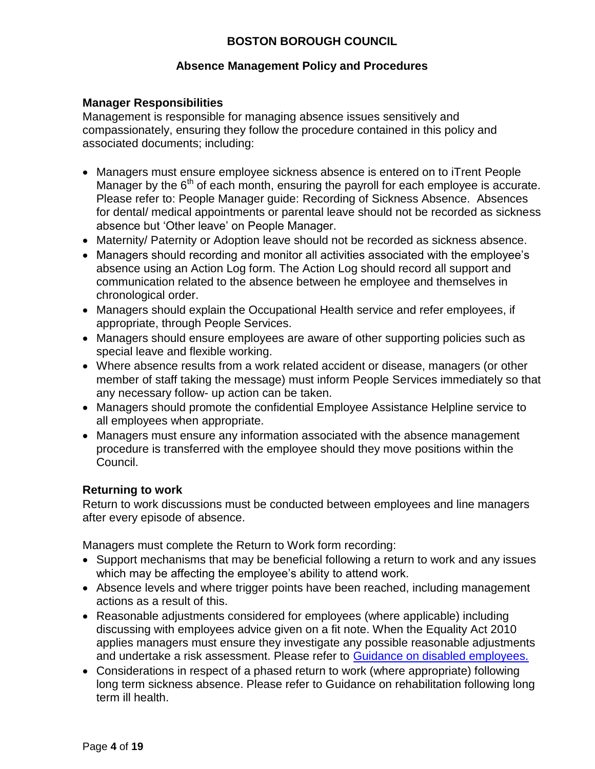### **Absence Management Policy and Procedures**

### **Manager Responsibilities**

Management is responsible for managing absence issues sensitively and compassionately, ensuring they follow the procedure contained in this policy and associated documents; including:

- Managers must ensure employee sickness absence is entered on to iTrent People Manager by the  $6<sup>th</sup>$  of each month, ensuring the payroll for each employee is accurate. Please refer to: People Manager guide: Recording of Sickness Absence. Absences for dental/ medical appointments or parental leave should not be recorded as sickness absence but 'Other leave' on People Manager.
- Maternity/ Paternity or Adoption leave should not be recorded as sickness absence.
- Managers should recording and monitor all activities associated with the employee's absence using an Action Log form. The Action Log should record all support and communication related to the absence between he employee and themselves in chronological order.
- Managers should explain the Occupational Health service and refer employees, if appropriate, through People Services.
- Managers should ensure employees are aware of other supporting policies such as special leave and flexible working.
- Where absence results from a work related accident or disease, managers (or other member of staff taking the message) must inform People Services immediately so that any necessary follow- up action can be taken.
- Managers should promote the confidential Employee Assistance Helpline service to all employees when appropriate.
- Managers must ensure any information associated with the absence management procedure is transferred with the employee should they move positions within the Council.

### **Returning to work**

Return to work discussions must be conducted between employees and line managers after every episode of absence.

Managers must complete the Return to Work form recording:

- Support mechanisms that may be beneficial following a return to work and any issues which may be affecting the employee's ability to attend work.
- Absence levels and where trigger points have been reached, including management actions as a result of this.
- Reasonable adjustments considered for employees (where applicable) including discussing with employees advice given on a fit note. When the Equality Act 2010 applies managers must ensure they investigate any possible reasonable adjustments and undertake a risk assessment. Please refer to [Guidance on disabled employees.](#page-0-0)
- Considerations in respect of a phased return to work (where appropriate) following long term sickness absence. Please refer to Guidance on rehabilitation following long term ill health.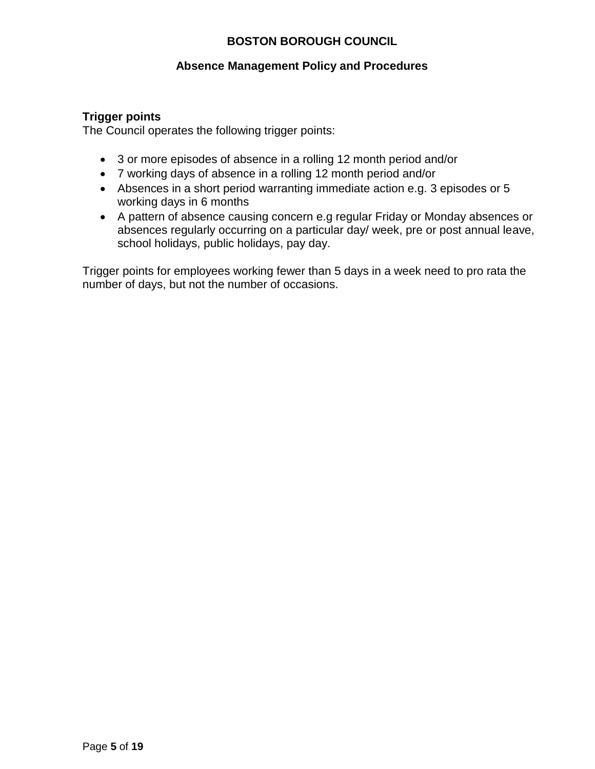### **Absence Management Policy and Procedures**

### **Trigger points**

The Council operates the following trigger points:

- 3 or more episodes of absence in a rolling 12 month period and/or
- 7 working days of absence in a rolling 12 month period and/or
- Absences in a short period warranting immediate action e.g. 3 episodes or 5 working days in 6 months
- A pattern of absence causing concern e.g regular Friday or Monday absences or absences regularly occurring on a particular day/ week, pre or post annual leave, school holidays, public holidays, pay day.

Trigger points for employees working fewer than 5 days in a week need to pro rata the number of days, but not the number of occasions.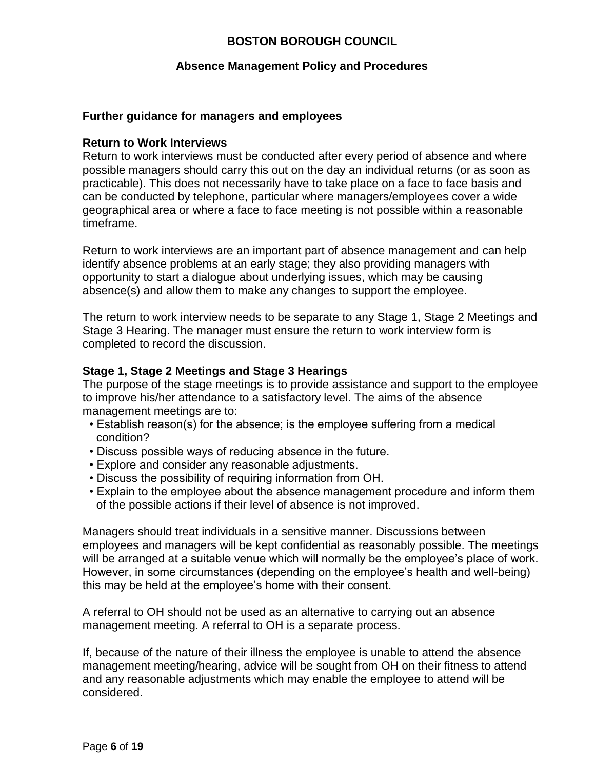#### **Absence Management Policy and Procedures**

#### **Further guidance for managers and employees**

#### **Return to Work Interviews**

Return to work interviews must be conducted after every period of absence and where possible managers should carry this out on the day an individual returns (or as soon as practicable). This does not necessarily have to take place on a face to face basis and can be conducted by telephone, particular where managers/employees cover a wide geographical area or where a face to face meeting is not possible within a reasonable timeframe.

Return to work interviews are an important part of absence management and can help identify absence problems at an early stage; they also providing managers with opportunity to start a dialogue about underlying issues, which may be causing absence(s) and allow them to make any changes to support the employee.

The return to work interview needs to be separate to any Stage 1, Stage 2 Meetings and Stage 3 Hearing. The manager must ensure the return to work interview form is completed to record the discussion.

#### **Stage 1, Stage 2 Meetings and Stage 3 Hearings**

The purpose of the stage meetings is to provide assistance and support to the employee to improve his/her attendance to a satisfactory level. The aims of the absence management meetings are to:

- Establish reason(s) for the absence; is the employee suffering from a medical condition?
- Discuss possible ways of reducing absence in the future.
- Explore and consider any reasonable adjustments.
- Discuss the possibility of requiring information from OH.
- Explain to the employee about the absence management procedure and inform them of the possible actions if their level of absence is not improved.

Managers should treat individuals in a sensitive manner. Discussions between employees and managers will be kept confidential as reasonably possible. The meetings will be arranged at a suitable venue which will normally be the employee's place of work. However, in some circumstances (depending on the employee's health and well-being) this may be held at the employee's home with their consent.

A referral to OH should not be used as an alternative to carrying out an absence management meeting. A referral to OH is a separate process.

If, because of the nature of their illness the employee is unable to attend the absence management meeting/hearing, advice will be sought from OH on their fitness to attend and any reasonable adjustments which may enable the employee to attend will be considered.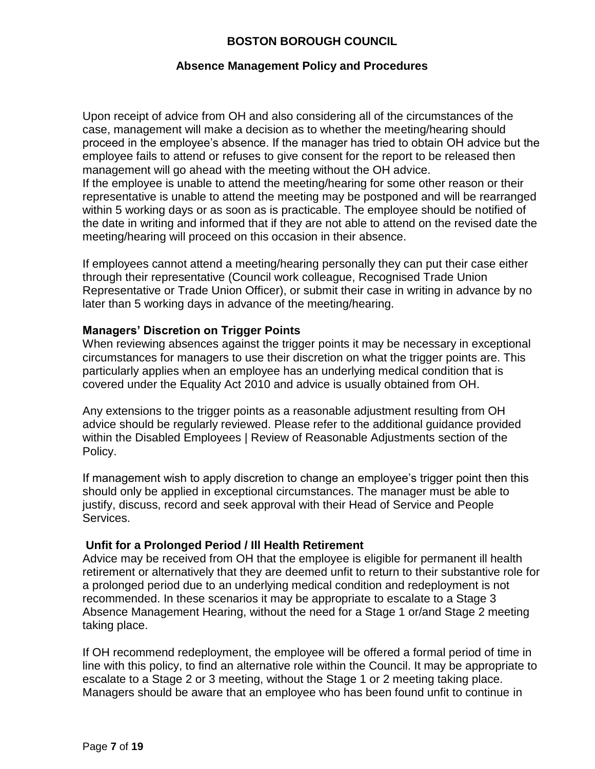### **Absence Management Policy and Procedures**

Upon receipt of advice from OH and also considering all of the circumstances of the case, management will make a decision as to whether the meeting/hearing should proceed in the employee's absence. If the manager has tried to obtain OH advice but the employee fails to attend or refuses to give consent for the report to be released then management will go ahead with the meeting without the OH advice.

If the employee is unable to attend the meeting/hearing for some other reason or their representative is unable to attend the meeting may be postponed and will be rearranged within 5 working days or as soon as is practicable. The employee should be notified of the date in writing and informed that if they are not able to attend on the revised date the meeting/hearing will proceed on this occasion in their absence.

If employees cannot attend a meeting/hearing personally they can put their case either through their representative (Council work colleague, Recognised Trade Union Representative or Trade Union Officer), or submit their case in writing in advance by no later than 5 working days in advance of the meeting/hearing.

### **Managers' Discretion on Trigger Points**

When reviewing absences against the trigger points it may be necessary in exceptional circumstances for managers to use their discretion on what the trigger points are. This particularly applies when an employee has an underlying medical condition that is covered under the Equality Act 2010 and advice is usually obtained from OH.

Any extensions to the trigger points as a reasonable adjustment resulting from OH advice should be regularly reviewed. Please refer to the additional guidance provided within the Disabled Employees | Review of Reasonable Adjustments section of the Policy.

If management wish to apply discretion to change an employee's trigger point then this should only be applied in exceptional circumstances. The manager must be able to justify, discuss, record and seek approval with their Head of Service and People Services.

### **Unfit for a Prolonged Period / Ill Health Retirement**

Advice may be received from OH that the employee is eligible for permanent ill health retirement or alternatively that they are deemed unfit to return to their substantive role for a prolonged period due to an underlying medical condition and redeployment is not recommended. In these scenarios it may be appropriate to escalate to a Stage 3 Absence Management Hearing, without the need for a Stage 1 or/and Stage 2 meeting taking place.

If OH recommend redeployment, the employee will be offered a formal period of time in line with this policy, to find an alternative role within the Council. It may be appropriate to escalate to a Stage 2 or 3 meeting, without the Stage 1 or 2 meeting taking place. Managers should be aware that an employee who has been found unfit to continue in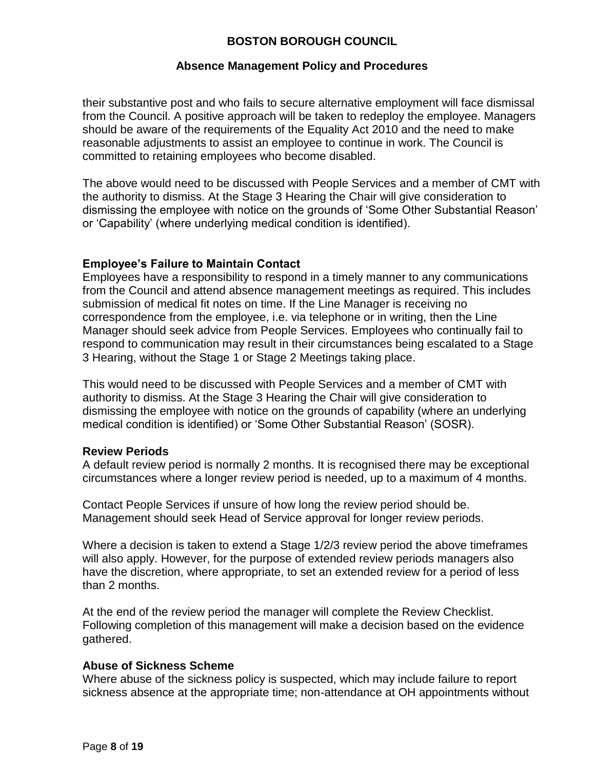### **Absence Management Policy and Procedures**

their substantive post and who fails to secure alternative employment will face dismissal from the Council. A positive approach will be taken to redeploy the employee. Managers should be aware of the requirements of the Equality Act 2010 and the need to make reasonable adjustments to assist an employee to continue in work. The Council is committed to retaining employees who become disabled.

The above would need to be discussed with People Services and a member of CMT with the authority to dismiss. At the Stage 3 Hearing the Chair will give consideration to dismissing the employee with notice on the grounds of 'Some Other Substantial Reason' or 'Capability' (where underlying medical condition is identified).

### **Employee's Failure to Maintain Contact**

Employees have a responsibility to respond in a timely manner to any communications from the Council and attend absence management meetings as required. This includes submission of medical fit notes on time. If the Line Manager is receiving no correspondence from the employee, i.e. via telephone or in writing, then the Line Manager should seek advice from People Services. Employees who continually fail to respond to communication may result in their circumstances being escalated to a Stage 3 Hearing, without the Stage 1 or Stage 2 Meetings taking place.

This would need to be discussed with People Services and a member of CMT with authority to dismiss. At the Stage 3 Hearing the Chair will give consideration to dismissing the employee with notice on the grounds of capability (where an underlying medical condition is identified) or 'Some Other Substantial Reason' (SOSR).

### **Review Periods**

A default review period is normally 2 months. It is recognised there may be exceptional circumstances where a longer review period is needed, up to a maximum of 4 months.

Contact People Services if unsure of how long the review period should be. Management should seek Head of Service approval for longer review periods.

Where a decision is taken to extend a Stage 1/2/3 review period the above timeframes will also apply. However, for the purpose of extended review periods managers also have the discretion, where appropriate, to set an extended review for a period of less than 2 months.

At the end of the review period the manager will complete the Review Checklist. Following completion of this management will make a decision based on the evidence gathered.

### **Abuse of Sickness Scheme**

Where abuse of the sickness policy is suspected, which may include failure to report sickness absence at the appropriate time; non-attendance at OH appointments without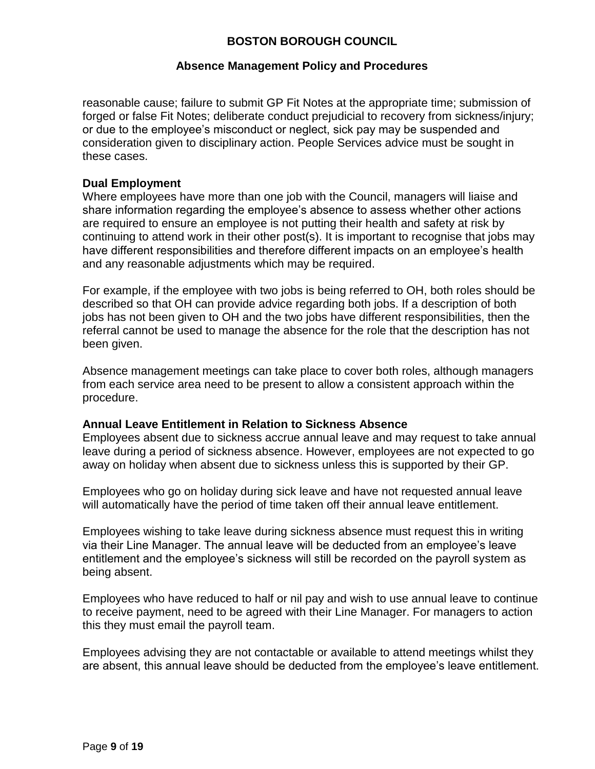### **Absence Management Policy and Procedures**

reasonable cause; failure to submit GP Fit Notes at the appropriate time; submission of forged or false Fit Notes; deliberate conduct prejudicial to recovery from sickness/injury; or due to the employee's misconduct or neglect, sick pay may be suspended and consideration given to disciplinary action. People Services advice must be sought in these cases.

### **Dual Employment**

Where employees have more than one job with the Council, managers will liaise and share information regarding the employee's absence to assess whether other actions are required to ensure an employee is not putting their health and safety at risk by continuing to attend work in their other post(s). It is important to recognise that jobs may have different responsibilities and therefore different impacts on an employee's health and any reasonable adjustments which may be required.

For example, if the employee with two jobs is being referred to OH, both roles should be described so that OH can provide advice regarding both jobs. If a description of both jobs has not been given to OH and the two jobs have different responsibilities, then the referral cannot be used to manage the absence for the role that the description has not been given.

Absence management meetings can take place to cover both roles, although managers from each service area need to be present to allow a consistent approach within the procedure.

### **Annual Leave Entitlement in Relation to Sickness Absence**

Employees absent due to sickness accrue annual leave and may request to take annual leave during a period of sickness absence. However, employees are not expected to go away on holiday when absent due to sickness unless this is supported by their GP.

Employees who go on holiday during sick leave and have not requested annual leave will automatically have the period of time taken off their annual leave entitlement.

Employees wishing to take leave during sickness absence must request this in writing via their Line Manager. The annual leave will be deducted from an employee's leave entitlement and the employee's sickness will still be recorded on the payroll system as being absent.

Employees who have reduced to half or nil pay and wish to use annual leave to continue to receive payment, need to be agreed with their Line Manager. For managers to action this they must email the payroll team.

Employees advising they are not contactable or available to attend meetings whilst they are absent, this annual leave should be deducted from the employee's leave entitlement.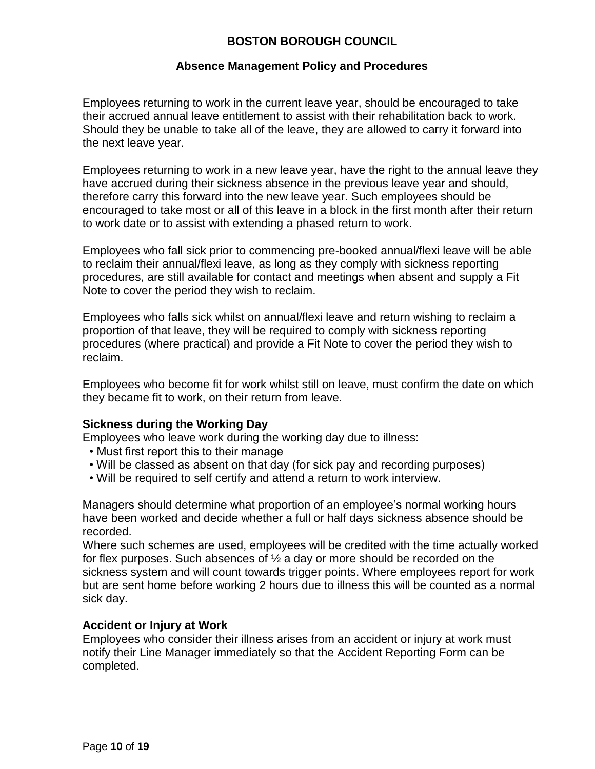### **Absence Management Policy and Procedures**

Employees returning to work in the current leave year, should be encouraged to take their accrued annual leave entitlement to assist with their rehabilitation back to work. Should they be unable to take all of the leave, they are allowed to carry it forward into the next leave year.

Employees returning to work in a new leave year, have the right to the annual leave they have accrued during their sickness absence in the previous leave year and should, therefore carry this forward into the new leave year. Such employees should be encouraged to take most or all of this leave in a block in the first month after their return to work date or to assist with extending a phased return to work.

Employees who fall sick prior to commencing pre-booked annual/flexi leave will be able to reclaim their annual/flexi leave, as long as they comply with sickness reporting procedures, are still available for contact and meetings when absent and supply a Fit Note to cover the period they wish to reclaim.

Employees who falls sick whilst on annual/flexi leave and return wishing to reclaim a proportion of that leave, they will be required to comply with sickness reporting procedures (where practical) and provide a Fit Note to cover the period they wish to reclaim.

Employees who become fit for work whilst still on leave, must confirm the date on which they became fit to work, on their return from leave.

### **Sickness during the Working Day**

Employees who leave work during the working day due to illness:

- Must first report this to their manage
- Will be classed as absent on that day (for sick pay and recording purposes)
- Will be required to self certify and attend a return to work interview.

Managers should determine what proportion of an employee's normal working hours have been worked and decide whether a full or half days sickness absence should be recorded.

Where such schemes are used, employees will be credited with the time actually worked for flex purposes. Such absences of ½ a day or more should be recorded on the sickness system and will count towards trigger points. Where employees report for work but are sent home before working 2 hours due to illness this will be counted as a normal sick day.

### **Accident or Injury at Work**

Employees who consider their illness arises from an accident or injury at work must notify their Line Manager immediately so that the Accident Reporting Form can be completed.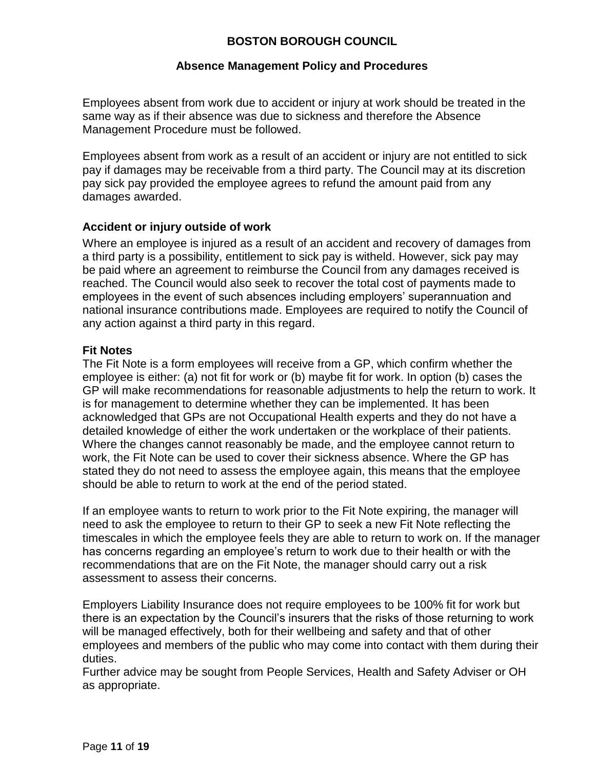### **Absence Management Policy and Procedures**

Employees absent from work due to accident or injury at work should be treated in the same way as if their absence was due to sickness and therefore the Absence Management Procedure must be followed.

Employees absent from work as a result of an accident or injury are not entitled to sick pay if damages may be receivable from a third party. The Council may at its discretion pay sick pay provided the employee agrees to refund the amount paid from any damages awarded.

### **Accident or injury outside of work**

Where an employee is injured as a result of an accident and recovery of damages from a third party is a possibility, entitlement to sick pay is witheld. However, sick pay may be paid where an agreement to reimburse the Council from any damages received is reached. The Council would also seek to recover the total cost of payments made to employees in the event of such absences including employers' superannuation and national insurance contributions made. Employees are required to notify the Council of any action against a third party in this regard.

### **Fit Notes**

The Fit Note is a form employees will receive from a GP, which confirm whether the employee is either: (a) not fit for work or (b) maybe fit for work. In option (b) cases the GP will make recommendations for reasonable adjustments to help the return to work. It is for management to determine whether they can be implemented. It has been acknowledged that GPs are not Occupational Health experts and they do not have a detailed knowledge of either the work undertaken or the workplace of their patients. Where the changes cannot reasonably be made, and the employee cannot return to work, the Fit Note can be used to cover their sickness absence. Where the GP has stated they do not need to assess the employee again, this means that the employee should be able to return to work at the end of the period stated.

If an employee wants to return to work prior to the Fit Note expiring, the manager will need to ask the employee to return to their GP to seek a new Fit Note reflecting the timescales in which the employee feels they are able to return to work on. If the manager has concerns regarding an employee's return to work due to their health or with the recommendations that are on the Fit Note, the manager should carry out a risk assessment to assess their concerns.

Employers Liability Insurance does not require employees to be 100% fit for work but there is an expectation by the Council's insurers that the risks of those returning to work will be managed effectively, both for their wellbeing and safety and that of other employees and members of the public who may come into contact with them during their duties.

Further advice may be sought from People Services, Health and Safety Adviser or OH as appropriate.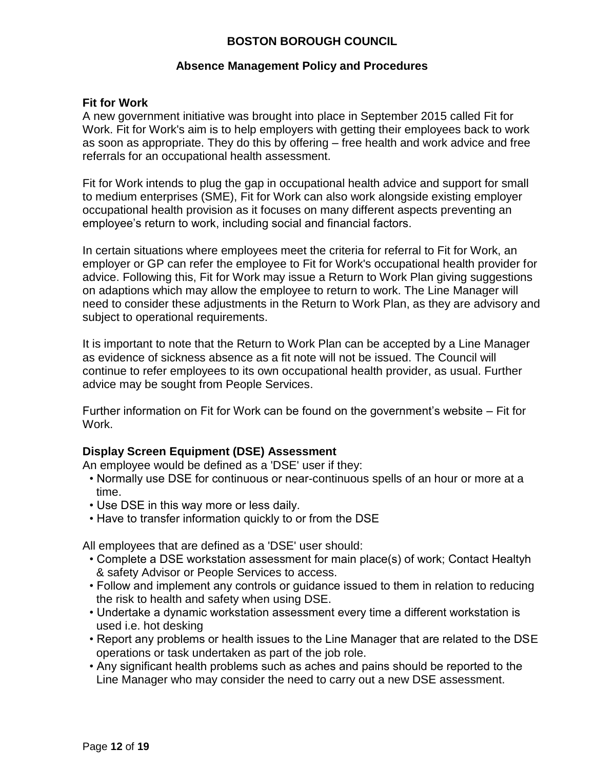#### **Absence Management Policy and Procedures**

#### **Fit for Work**

A new government initiative was brought into place in September 2015 called Fit for Work. Fit for Work's aim is to help employers with getting their employees back to work as soon as appropriate. They do this by offering – free health and work advice and free referrals for an occupational health assessment.

Fit for Work intends to plug the gap in occupational health advice and support for small to medium enterprises (SME), Fit for Work can also work alongside existing employer occupational health provision as it focuses on many different aspects preventing an employee's return to work, including social and financial factors.

In certain situations where employees meet the criteria for referral to Fit for Work, an employer or GP can refer the employee to Fit for Work's occupational health provider for advice. Following this, Fit for Work may issue a Return to Work Plan giving suggestions on adaptions which may allow the employee to return to work. The Line Manager will need to consider these adjustments in the Return to Work Plan, as they are advisory and subject to operational requirements.

It is important to note that the Return to Work Plan can be accepted by a Line Manager as evidence of sickness absence as a fit note will not be issued. The Council will continue to refer employees to its own occupational health provider, as usual. Further advice may be sought from People Services.

Further information on Fit for Work can be found on the government's website – Fit for Work.

### **Display Screen Equipment (DSE) Assessment**

An employee would be defined as a 'DSE' user if they:

- Normally use DSE for continuous or near-continuous spells of an hour or more at a time.
- Use DSE in this way more or less daily.
- Have to transfer information quickly to or from the DSE

All employees that are defined as a 'DSE' user should:

- Complete a DSE workstation assessment for main place(s) of work; Contact Healtyh & safety Advisor or People Services to access.
- Follow and implement any controls or guidance issued to them in relation to reducing the risk to health and safety when using DSE.
- Undertake a dynamic workstation assessment every time a different workstation is used i.e. hot desking
- Report any problems or health issues to the Line Manager that are related to the DSE operations or task undertaken as part of the job role.
- Any significant health problems such as aches and pains should be reported to the Line Manager who may consider the need to carry out a new DSE assessment.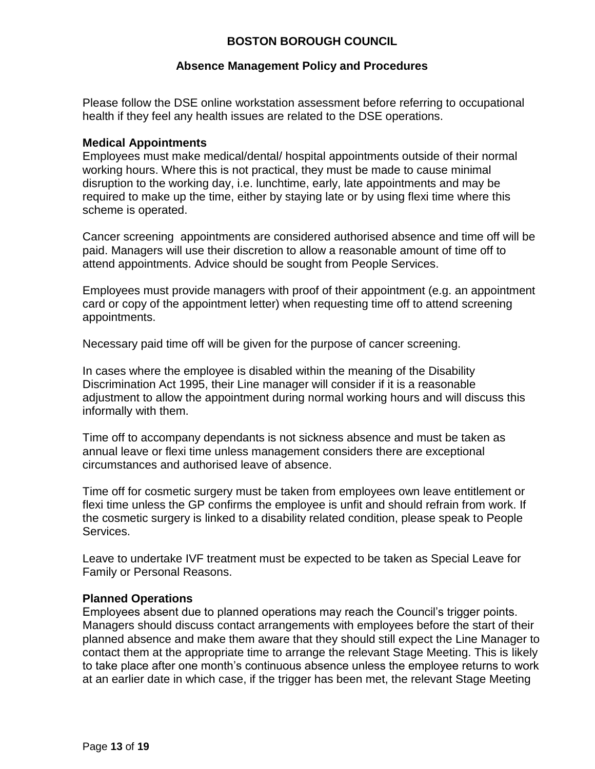### **Absence Management Policy and Procedures**

Please follow the DSE online workstation assessment before referring to occupational health if they feel any health issues are related to the DSE operations.

#### **Medical Appointments**

Employees must make medical/dental/ hospital appointments outside of their normal working hours. Where this is not practical, they must be made to cause minimal disruption to the working day, i.e. lunchtime, early, late appointments and may be required to make up the time, either by staying late or by using flexi time where this scheme is operated.

Cancer screening appointments are considered authorised absence and time off will be paid. Managers will use their discretion to allow a reasonable amount of time off to attend appointments. Advice should be sought from People Services.

Employees must provide managers with proof of their appointment (e.g. an appointment card or copy of the appointment letter) when requesting time off to attend screening appointments.

Necessary paid time off will be given for the purpose of cancer screening.

In cases where the employee is disabled within the meaning of the Disability Discrimination Act 1995, their Line manager will consider if it is a reasonable adjustment to allow the appointment during normal working hours and will discuss this informally with them.

Time off to accompany dependants is not sickness absence and must be taken as annual leave or flexi time unless management considers there are exceptional circumstances and authorised leave of absence.

Time off for cosmetic surgery must be taken from employees own leave entitlement or flexi time unless the GP confirms the employee is unfit and should refrain from work. If the cosmetic surgery is linked to a disability related condition, please speak to People Services.

Leave to undertake IVF treatment must be expected to be taken as Special Leave for Family or Personal Reasons.

### **Planned Operations**

Employees absent due to planned operations may reach the Council's trigger points. Managers should discuss contact arrangements with employees before the start of their planned absence and make them aware that they should still expect the Line Manager to contact them at the appropriate time to arrange the relevant Stage Meeting. This is likely to take place after one month's continuous absence unless the employee returns to work at an earlier date in which case, if the trigger has been met, the relevant Stage Meeting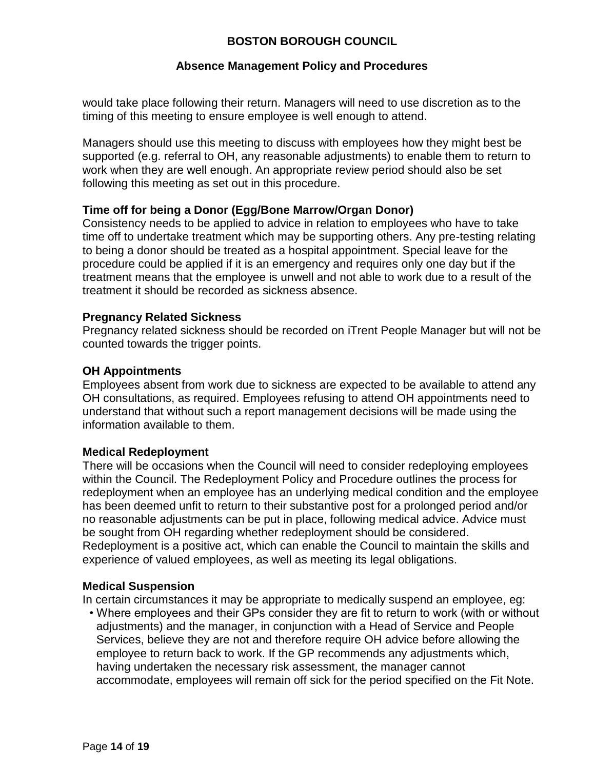### **Absence Management Policy and Procedures**

would take place following their return. Managers will need to use discretion as to the timing of this meeting to ensure employee is well enough to attend.

Managers should use this meeting to discuss with employees how they might best be supported (e.g. referral to OH, any reasonable adjustments) to enable them to return to work when they are well enough. An appropriate review period should also be set following this meeting as set out in this procedure.

### **Time off for being a Donor (Egg/Bone Marrow/Organ Donor)**

Consistency needs to be applied to advice in relation to employees who have to take time off to undertake treatment which may be supporting others. Any pre-testing relating to being a donor should be treated as a hospital appointment. Special leave for the procedure could be applied if it is an emergency and requires only one day but if the treatment means that the employee is unwell and not able to work due to a result of the treatment it should be recorded as sickness absence.

### **Pregnancy Related Sickness**

Pregnancy related sickness should be recorded on iTrent People Manager but will not be counted towards the trigger points.

### **OH Appointments**

Employees absent from work due to sickness are expected to be available to attend any OH consultations, as required. Employees refusing to attend OH appointments need to understand that without such a report management decisions will be made using the information available to them.

### **Medical Redeployment**

There will be occasions when the Council will need to consider redeploying employees within the Council. The Redeployment Policy and Procedure outlines the process for redeployment when an employee has an underlying medical condition and the employee has been deemed unfit to return to their substantive post for a prolonged period and/or no reasonable adjustments can be put in place, following medical advice. Advice must be sought from OH regarding whether redeployment should be considered. Redeployment is a positive act, which can enable the Council to maintain the skills and experience of valued employees, as well as meeting its legal obligations.

### **Medical Suspension**

In certain circumstances it may be appropriate to medically suspend an employee, eg:

• Where employees and their GPs consider they are fit to return to work (with or without adjustments) and the manager, in conjunction with a Head of Service and People Services, believe they are not and therefore require OH advice before allowing the employee to return back to work. If the GP recommends any adjustments which, having undertaken the necessary risk assessment, the manager cannot accommodate, employees will remain off sick for the period specified on the Fit Note.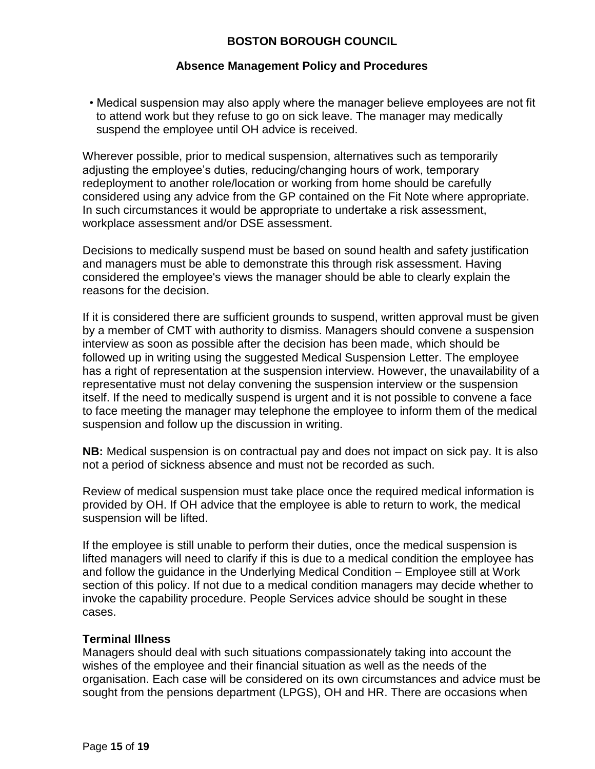### **Absence Management Policy and Procedures**

• Medical suspension may also apply where the manager believe employees are not fit to attend work but they refuse to go on sick leave. The manager may medically suspend the employee until OH advice is received.

Wherever possible, prior to medical suspension, alternatives such as temporarily adjusting the employee's duties, reducing/changing hours of work, temporary redeployment to another role/location or working from home should be carefully considered using any advice from the GP contained on the Fit Note where appropriate. In such circumstances it would be appropriate to undertake a risk assessment, workplace assessment and/or DSE assessment.

Decisions to medically suspend must be based on sound health and safety justification and managers must be able to demonstrate this through risk assessment. Having considered the employee's views the manager should be able to clearly explain the reasons for the decision.

If it is considered there are sufficient grounds to suspend, written approval must be given by a member of CMT with authority to dismiss. Managers should convene a suspension interview as soon as possible after the decision has been made, which should be followed up in writing using the suggested Medical Suspension Letter. The employee has a right of representation at the suspension interview. However, the unavailability of a representative must not delay convening the suspension interview or the suspension itself. If the need to medically suspend is urgent and it is not possible to convene a face to face meeting the manager may telephone the employee to inform them of the medical suspension and follow up the discussion in writing.

**NB:** Medical suspension is on contractual pay and does not impact on sick pay. It is also not a period of sickness absence and must not be recorded as such.

Review of medical suspension must take place once the required medical information is provided by OH. If OH advice that the employee is able to return to work, the medical suspension will be lifted.

If the employee is still unable to perform their duties, once the medical suspension is lifted managers will need to clarify if this is due to a medical condition the employee has and follow the guidance in the Underlying Medical Condition – Employee still at Work section of this policy. If not due to a medical condition managers may decide whether to invoke the capability procedure. People Services advice should be sought in these cases.

### **Terminal Illness**

Managers should deal with such situations compassionately taking into account the wishes of the employee and their financial situation as well as the needs of the organisation. Each case will be considered on its own circumstances and advice must be sought from the pensions department (LPGS), OH and HR. There are occasions when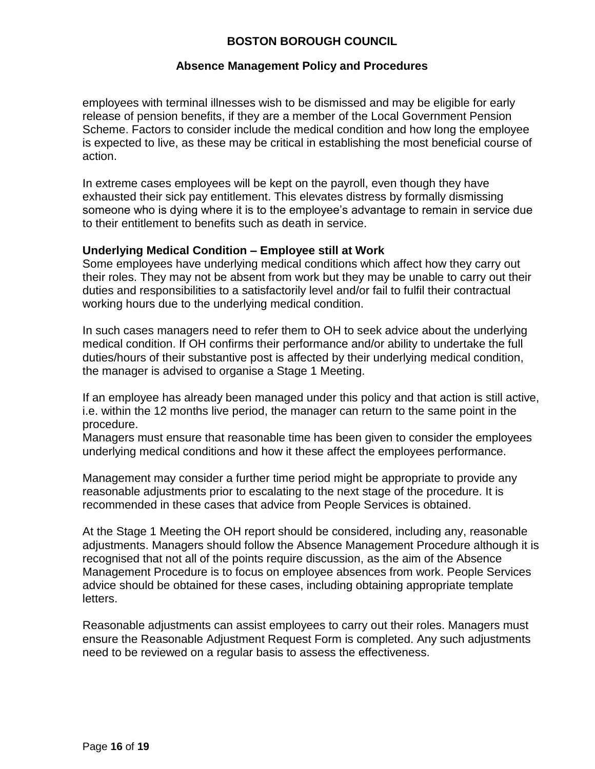### **Absence Management Policy and Procedures**

employees with terminal illnesses wish to be dismissed and may be eligible for early release of pension benefits, if they are a member of the Local Government Pension Scheme. Factors to consider include the medical condition and how long the employee is expected to live, as these may be critical in establishing the most beneficial course of action.

In extreme cases employees will be kept on the payroll, even though they have exhausted their sick pay entitlement. This elevates distress by formally dismissing someone who is dying where it is to the employee's advantage to remain in service due to their entitlement to benefits such as death in service.

### **Underlying Medical Condition – Employee still at Work**

Some employees have underlying medical conditions which affect how they carry out their roles. They may not be absent from work but they may be unable to carry out their duties and responsibilities to a satisfactorily level and/or fail to fulfil their contractual working hours due to the underlying medical condition.

In such cases managers need to refer them to OH to seek advice about the underlying medical condition. If OH confirms their performance and/or ability to undertake the full duties/hours of their substantive post is affected by their underlying medical condition, the manager is advised to organise a Stage 1 Meeting.

If an employee has already been managed under this policy and that action is still active, i.e. within the 12 months live period, the manager can return to the same point in the procedure.

Managers must ensure that reasonable time has been given to consider the employees underlying medical conditions and how it these affect the employees performance.

Management may consider a further time period might be appropriate to provide any reasonable adjustments prior to escalating to the next stage of the procedure. It is recommended in these cases that advice from People Services is obtained.

At the Stage 1 Meeting the OH report should be considered, including any, reasonable adjustments. Managers should follow the Absence Management Procedure although it is recognised that not all of the points require discussion, as the aim of the Absence Management Procedure is to focus on employee absences from work. People Services advice should be obtained for these cases, including obtaining appropriate template letters.

Reasonable adjustments can assist employees to carry out their roles. Managers must ensure the Reasonable Adjustment Request Form is completed. Any such adjustments need to be reviewed on a regular basis to assess the effectiveness.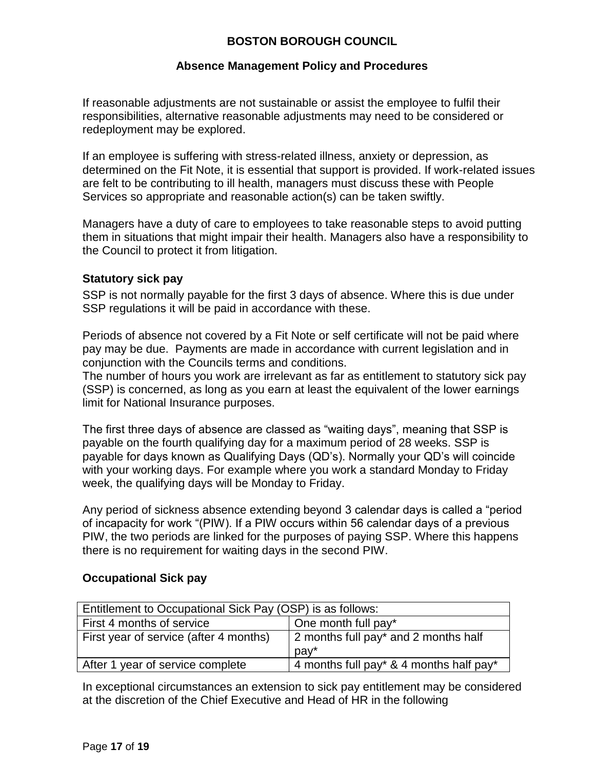### **Absence Management Policy and Procedures**

If reasonable adjustments are not sustainable or assist the employee to fulfil their responsibilities, alternative reasonable adjustments may need to be considered or redeployment may be explored.

If an employee is suffering with stress-related illness, anxiety or depression, as determined on the Fit Note, it is essential that support is provided. If work-related issues are felt to be contributing to ill health, managers must discuss these with People Services so appropriate and reasonable action(s) can be taken swiftly.

Managers have a duty of care to employees to take reasonable steps to avoid putting them in situations that might impair their health. Managers also have a responsibility to the Council to protect it from litigation.

### **Statutory sick pay**

SSP is not normally payable for the first 3 days of absence. Where this is due under SSP regulations it will be paid in accordance with these.

Periods of absence not covered by a Fit Note or self certificate will not be paid where pay may be due. Payments are made in accordance with current legislation and in conjunction with the Councils terms and conditions.

The number of hours you work are irrelevant as far as entitlement to statutory sick pay (SSP) is concerned, as long as you earn at least the equivalent of the lower earnings limit for National Insurance purposes.

The first three days of absence are classed as "waiting days", meaning that SSP is payable on the fourth qualifying day for a maximum period of 28 weeks. SSP is payable for days known as Qualifying Days (QD's). Normally your QD's will coincide with your working days. For example where you work a standard Monday to Friday week, the qualifying days will be Monday to Friday.

Any period of sickness absence extending beyond 3 calendar days is called a "period of incapacity for work "(PIW). If a PIW occurs within 56 calendar days of a previous PIW, the two periods are linked for the purposes of paying SSP. Where this happens there is no requirement for waiting days in the second PIW.

### **Occupational Sick pay**

| Entitlement to Occupational Sick Pay (OSP) is as follows: |                                                          |
|-----------------------------------------------------------|----------------------------------------------------------|
| First 4 months of service                                 | One month full pay*                                      |
| First year of service (after 4 months)                    | 2 months full pay* and 2 months half<br>$\mathsf{pav}^*$ |
| After 1 year of service complete                          | 4 months full pay* & 4 months half pay*                  |

In exceptional circumstances an extension to sick pay entitlement may be considered at the discretion of the Chief Executive and Head of HR in the following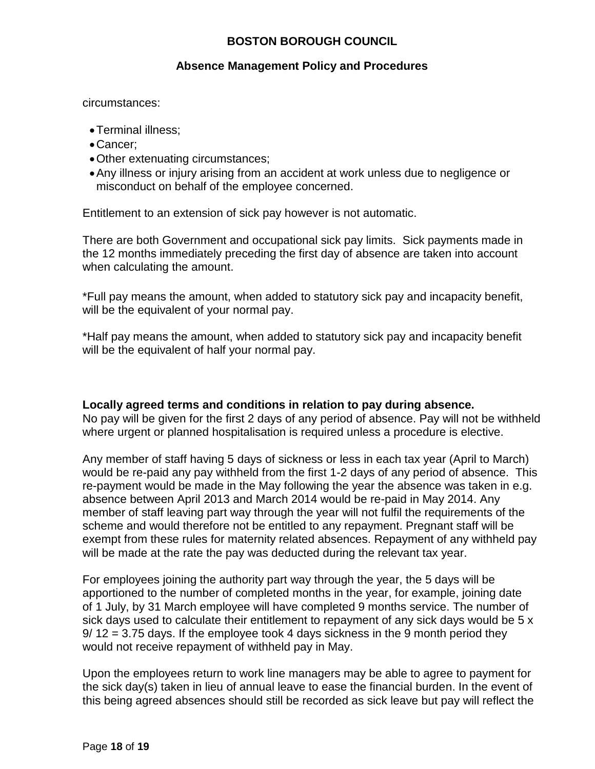### **Absence Management Policy and Procedures**

circumstances:

- Terminal illness;
- Cancer;
- Other extenuating circumstances;
- Any illness or injury arising from an accident at work unless due to negligence or misconduct on behalf of the employee concerned.

Entitlement to an extension of sick pay however is not automatic.

There are both Government and occupational sick pay limits. Sick payments made in the 12 months immediately preceding the first day of absence are taken into account when calculating the amount.

\*Full pay means the amount, when added to statutory sick pay and incapacity benefit, will be the equivalent of your normal pay.

\*Half pay means the amount, when added to statutory sick pay and incapacity benefit will be the equivalent of half your normal pay.

### **Locally agreed terms and conditions in relation to pay during absence.**

No pay will be given for the first 2 days of any period of absence. Pay will not be withheld where urgent or planned hospitalisation is required unless a procedure is elective.

Any member of staff having 5 days of sickness or less in each tax year (April to March) would be re-paid any pay withheld from the first 1-2 days of any period of absence. This re-payment would be made in the May following the year the absence was taken in e.g. absence between April 2013 and March 2014 would be re-paid in May 2014. Any member of staff leaving part way through the year will not fulfil the requirements of the scheme and would therefore not be entitled to any repayment. Pregnant staff will be exempt from these rules for maternity related absences. Repayment of any withheld pay will be made at the rate the pay was deducted during the relevant tax year.

For employees joining the authority part way through the year, the 5 days will be apportioned to the number of completed months in the year, for example, joining date of 1 July, by 31 March employee will have completed 9 months service. The number of sick days used to calculate their entitlement to repayment of any sick days would be 5 x 9/ 12 = 3.75 days. If the employee took 4 days sickness in the 9 month period they would not receive repayment of withheld pay in May.

Upon the employees return to work line managers may be able to agree to payment for the sick day(s) taken in lieu of annual leave to ease the financial burden. In the event of this being agreed absences should still be recorded as sick leave but pay will reflect the